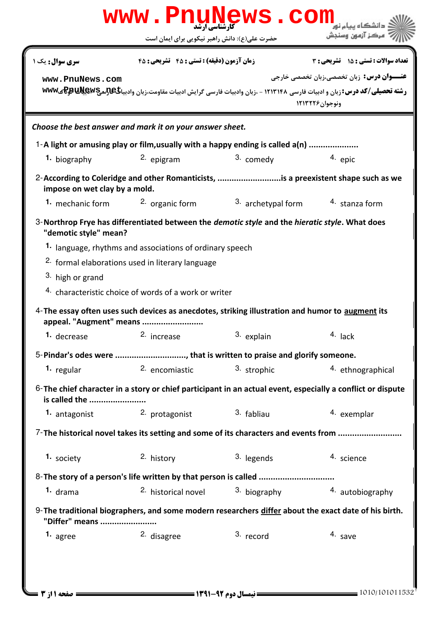|                               | حضرت علی(ع): دانش راهبر نیکویی برای ایمان است                                                                               |                    | مركز آزمون وسنجش                                                                                                                          |
|-------------------------------|-----------------------------------------------------------------------------------------------------------------------------|--------------------|-------------------------------------------------------------------------------------------------------------------------------------------|
| <b>سری سوال :</b> یک ۱        | زمان آزمون (دقیقه) : تستی : 45 تشریحی: 45                                                                                   |                    | تعداد سوالات : تستي : ۱۵ - تشریحي : ۳                                                                                                     |
| www.PnuNews.com               |                                                                                                                             |                    | <b>عنـــوان درس:</b> زبان تخصصی،زبان تخصصی خارجی                                                                                          |
|                               |                                                                                                                             |                    | رشته تحصیلی/کد درس: زبان و ادبیات فارسی ۱۲۱۳۱۴۸ - ،زبان وادبیات فارسی گرایش ادبیات مقاومت،زبان وادبیاگکیپیچیپیچیهچیکها<br>ونوجوان ١٢١٣٢٢۶ |
|                               | Choose the best answer and mark it on your answer sheet.                                                                    |                    |                                                                                                                                           |
|                               | 1-A light or amusing play or film, usually with a happy ending is called a(n)                                               |                    |                                                                                                                                           |
| 1. biography                  | 2. epigram                                                                                                                  | 3. comedy          | 4. epic                                                                                                                                   |
| impose on wet clay by a mold. |                                                                                                                             |                    | 2-According to Coleridge and other Romanticists, is a preexistent shape such as we                                                        |
| <b>1.</b> mechanic form       | 2. organic form                                                                                                             | 3. archetypal form | 4. stanza form                                                                                                                            |
| "demotic style" mean?         | 3-Northrop Frye has differentiated between the <i>demotic style</i> and the <i>hieratic style</i> . What does               |                    |                                                                                                                                           |
|                               | 1. language, rhythms and associations of ordinary speech                                                                    |                    |                                                                                                                                           |
|                               | <sup>2.</sup> formal elaborations used in literary language                                                                 |                    |                                                                                                                                           |
| 3. high or grand              |                                                                                                                             |                    |                                                                                                                                           |
|                               | 4. characteristic choice of words of a work or writer                                                                       |                    |                                                                                                                                           |
|                               | 4-The essay often uses such devices as anecdotes, striking illustration and humor to augment its<br>appeal. "Augment" means |                    |                                                                                                                                           |
| 1. decrease 2. increase       |                                                                                                                             | 3. explain         | 4. lack                                                                                                                                   |
|                               | 5-Pindar's odes were , that is written to praise and glorify someone.                                                       |                    |                                                                                                                                           |
| 1. regular                    | 2. encomiastic                                                                                                              | 3. strophic        | 4. ethnographical                                                                                                                         |
| is called the                 |                                                                                                                             |                    | 6-The chief character in a story or chief participant in an actual event, especially a conflict or dispute                                |
| 1. antagonist                 | 2. protagonist                                                                                                              | 3. fabliau         | 4. exemplar                                                                                                                               |
|                               | 7-The historical novel takes its setting and some of its characters and events from                                         |                    |                                                                                                                                           |
| 1. society                    | 2. history                                                                                                                  | 3. legends         | 4. science                                                                                                                                |
|                               |                                                                                                                             |                    |                                                                                                                                           |
|                               |                                                                                                                             | 3. biography       | 4. autobiography                                                                                                                          |
| <sup>1.</sup> drama           | 2. historical novel                                                                                                         |                    |                                                                                                                                           |
|                               |                                                                                                                             |                    | 9- The traditional biographers, and some modern researchers differ about the exact date of his birth.                                     |
| "Differ" means<br>1. agree    | 2. disagree                                                                                                                 | 3. record          | 4. save                                                                                                                                   |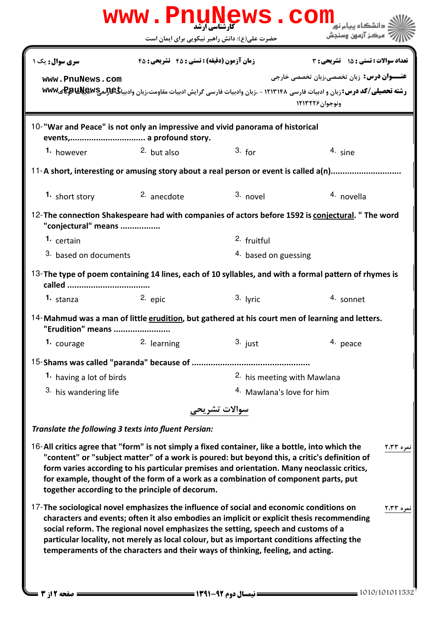|                                                                                                 | www.PnuNews.com                                                                                                                                                                                                                                                                                                                                                 |                                               |                                                                                                                                      |
|-------------------------------------------------------------------------------------------------|-----------------------------------------------------------------------------------------------------------------------------------------------------------------------------------------------------------------------------------------------------------------------------------------------------------------------------------------------------------------|-----------------------------------------------|--------------------------------------------------------------------------------------------------------------------------------------|
|                                                                                                 |                                                                                                                                                                                                                                                                                                                                                                 | حضرت علی(ع): دانش راهبر نیکویی برای ایمان است | مركز آزمون وسنجش                                                                                                                     |
| سری سوال: یک ۱                                                                                  | <b>زمان آزمون (دقیقه) : تستی : 45 ٪ تشریحی : 45</b>                                                                                                                                                                                                                                                                                                             |                                               | تعداد سوالات : تستي : 15 - تشريحي : 3                                                                                                |
| www.PnuNews.com                                                                                 |                                                                                                                                                                                                                                                                                                                                                                 |                                               | <b>عنـــوان درس:</b> زبان تخصصي،زبان تخصصي خارجي                                                                                     |
|                                                                                                 |                                                                                                                                                                                                                                                                                                                                                                 |                                               | رشته تحصیلی/کد درس: زبان و ادبیات فارسی ۱۲۱۳۱۴۸ - ،زبان وادبیات فارسی گرایش ادبیات مقاومت،زبان وادبیاگیتیچیپکیکلا<br>ونوجوان ١٢١٣٢٢۶ |
| 10-"War and Peace" is not only an impressive and vivid panorama of historical                   |                                                                                                                                                                                                                                                                                                                                                                 |                                               |                                                                                                                                      |
| 1. however                                                                                      | $2.$ but also                                                                                                                                                                                                                                                                                                                                                   | 3. for                                        | 4. sine                                                                                                                              |
|                                                                                                 |                                                                                                                                                                                                                                                                                                                                                                 |                                               | 11-A short, interesting or amusing story about a real person or event is called a(n)                                                 |
| 1. short story                                                                                  | $2.$ anecdote                                                                                                                                                                                                                                                                                                                                                   | $3.$ novel                                    | 4. novella                                                                                                                           |
| "conjectural" means                                                                             |                                                                                                                                                                                                                                                                                                                                                                 |                                               | 12-The connection Shakespeare had with companies of actors before 1592 is conjectural. " The word                                    |
| 1. certain                                                                                      |                                                                                                                                                                                                                                                                                                                                                                 | 2. fruitful                                   |                                                                                                                                      |
| 3. based on documents                                                                           |                                                                                                                                                                                                                                                                                                                                                                 | 4. based on guessing                          |                                                                                                                                      |
|                                                                                                 |                                                                                                                                                                                                                                                                                                                                                                 |                                               | 13-The type of poem containing 14 lines, each of 10 syllables, and with a formal pattern of rhymes is                                |
| 1. stanza                                                                                       | $2.$ epic                                                                                                                                                                                                                                                                                                                                                       | 3. lyric                                      | 4. sonnet                                                                                                                            |
| "Erudition" means                                                                               |                                                                                                                                                                                                                                                                                                                                                                 |                                               | 14-Mahmud was a man of little erudition, but gathered at his court men of learning and letters.                                      |
| 1. courage                                                                                      | 2. learning                                                                                                                                                                                                                                                                                                                                                     | $3.$ just                                     | 4. peace                                                                                                                             |
|                                                                                                 |                                                                                                                                                                                                                                                                                                                                                                 |                                               |                                                                                                                                      |
| 1. having a lot of birds                                                                        |                                                                                                                                                                                                                                                                                                                                                                 |                                               | <sup>2</sup> his meeting with Mawlana                                                                                                |
| 3. his wandering life                                                                           |                                                                                                                                                                                                                                                                                                                                                                 | 4. Mawlana's love for him                     |                                                                                                                                      |
|                                                                                                 |                                                                                                                                                                                                                                                                                                                                                                 | سوالات تشريحى                                 |                                                                                                                                      |
| Translate the following 3 texts into fluent Persian:                                            |                                                                                                                                                                                                                                                                                                                                                                 |                                               |                                                                                                                                      |
| 16-All critics agree that "form" is not simply a fixed container, like a bottle, into which the | "content" or "subject matter" of a work is poured: but beyond this, a critic's definition of<br>form varies according to his particular premises and orientation. Many neoclassic critics,<br>for example, thought of the form of a work as a combination of component parts, put<br>together according to the principle of decorum.                            |                                               | نمره ۲،۳۳                                                                                                                            |
| 17-The sociological novel emphasizes the influence of social and economic conditions on         | characters and events; often it also embodies an implicit or explicit thesis recommending<br>social reform. The regional novel emphasizes the setting, speech and customs of a<br>particular locality, not merely as local colour, but as important conditions affecting the<br>temperaments of the characters and their ways of thinking, feeling, and acting. |                                               | نمره ۲،۳۳                                                                                                                            |
| صفحه 12; 3                                                                                      |                                                                                                                                                                                                                                                                                                                                                                 |                                               | $=$ 1010/101011532                                                                                                                   |